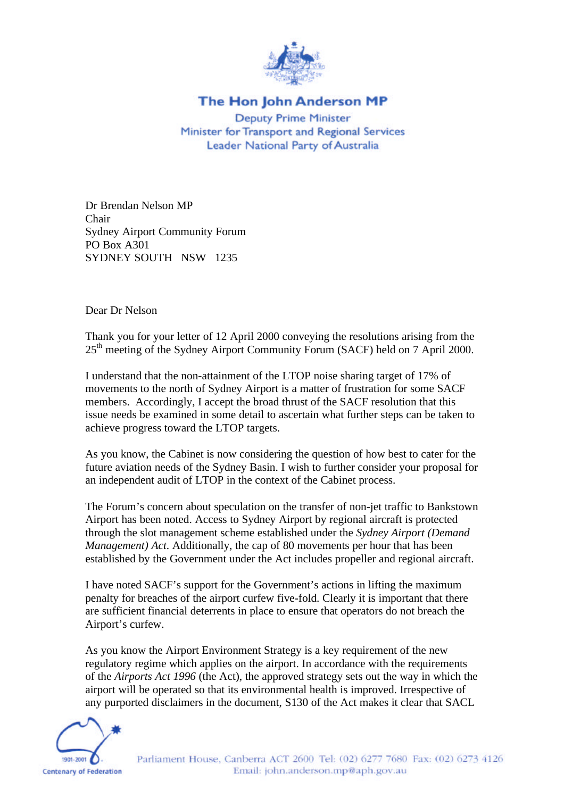

## The Hon John Anderson MP

**Deputy Prime Minister** Minister for Transport and Regional Services Leader National Party of Australia

Dr Brendan Nelson MP Chair Sydney Airport Community Forum PO Box A301 SYDNEY SOUTH NSW 1235

Dear Dr Nelson

Thank you for your letter of 12 April 2000 conveying the resolutions arising from the 25<sup>th</sup> meeting of the Sydney Airport Community Forum (SACF) held on 7 April 2000.

I understand that the non-attainment of the LTOP noise sharing target of 17% of movements to the north of Sydney Airport is a matter of frustration for some SACF members. Accordingly, I accept the broad thrust of the SACF resolution that this issue needs be examined in some detail to ascertain what further steps can be taken to achieve progress toward the LTOP targets.

As you know, the Cabinet is now considering the question of how best to cater for the future aviation needs of the Sydney Basin. I wish to further consider your proposal for an independent audit of LTOP in the context of the Cabinet process.

The Forum's concern about speculation on the transfer of non-jet traffic to Bankstown Airport has been noted. Access to Sydney Airport by regional aircraft is protected through the slot management scheme established under the *Sydney Airport (Demand Management) Act*. Additionally, the cap of 80 movements per hour that has been established by the Government under the Act includes propeller and regional aircraft.

I have noted SACF's support for the Government's actions in lifting the maximum penalty for breaches of the airport curfew five-fold. Clearly it is important that there are sufficient financial deterrents in place to ensure that operators do not breach the Airport's curfew.

As you know the Airport Environment Strategy is a key requirement of the new regulatory regime which applies on the airport. In accordance with the requirements of the *Airports Act 1996* (the Act), the approved strategy sets out the way in which the airport will be operated so that its environmental health is improved. Irrespective of any purported disclaimers in the document, S130 of the Act makes it clear that SACL